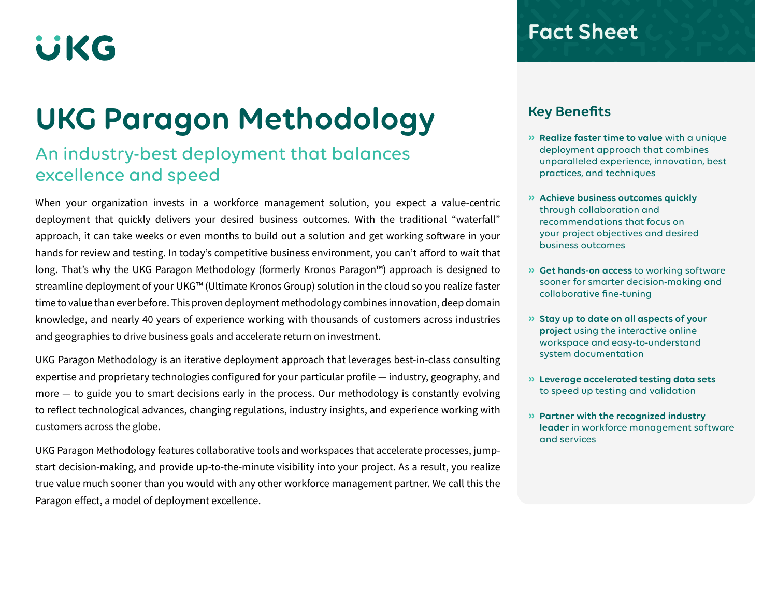# **UKG**

## **UKG Paragon Methodology**

### An industry-best deployment that balances excellence and speed

When your organization invests in a workforce management solution, you expect a value-centric deployment that quickly delivers your desired business outcomes. With the traditional "waterfall" approach, it can take weeks or even months to build out a solution and get working software in your hands for review and testing. In today's competitive business environment, you can't afford to wait that long. That's why the UKG Paragon Methodology (formerly Kronos Paragon™) approach is designed to streamline deployment of your UKG™ (Ultimate Kronos Group) solution in the cloud so you realize faster time to value than ever before. This proven deployment methodology combines innovation, deep domain knowledge, and nearly 40 years of experience working with thousands of customers across industries and geographies to drive business goals and accelerate return on investment.

UKG Paragon Methodology is an iterative deployment approach that leverages best-in-class consulting expertise and proprietary technologies configured for your particular profile — industry, geography, and more — to guide you to smart decisions early in the process. Our methodology is constantly evolving to reflect technological advances, changing regulations, industry insights, and experience working with customers across the globe.

UKG Paragon Methodology features collaborative tools and workspaces that accelerate processes, jumpstart decision-making, and provide up-to-the-minute visibility into your project. As a result, you realize true value much sooner than you would with any other workforce management partner. We call this the Paragon effect, a model of deployment excellence.

### **Fact Sheet**

### **Key Benefits**

- **» Realize faster time to value** with a unique deployment approach that combines unparalleled experience, innovation, best practices, and techniques
- **» Achieve business outcomes quickly**  through collaboration and recommendations that focus on your project objectives and desired business outcomes
- **» Get hands-on access** to working software sooner for smarter decision-making and collaborative fine-tuning
- **» Stay up to date on all aspects of your project** using the interactive online workspace and easy-to-understand system documentation
- **» Leverage accelerated testing data sets**  to speed up testing and validation
- **» Partner with the recognized industry leader** in workforce management software and services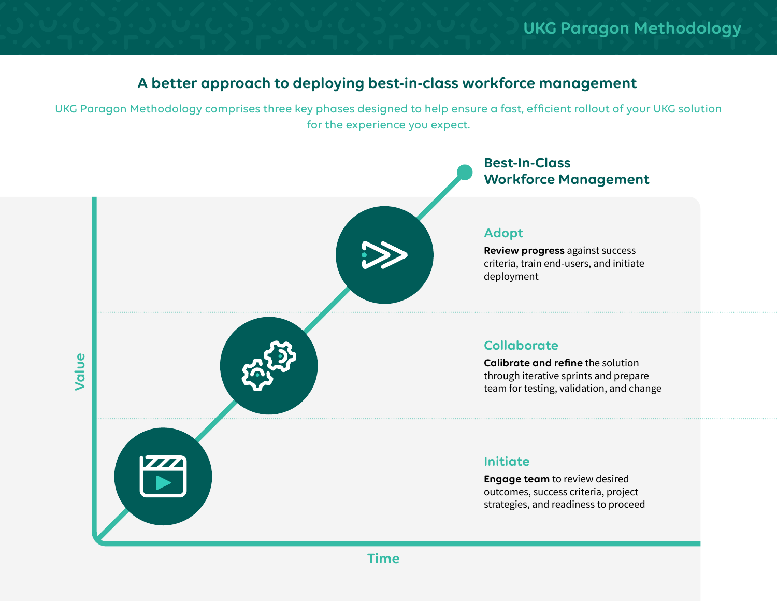### **A better approach to deploying best-in-class workforce management**

UKG Paragon Methodology comprises three key phases designed to help ensure a fast, efficient rollout of your UKG solution for the experience you expect.

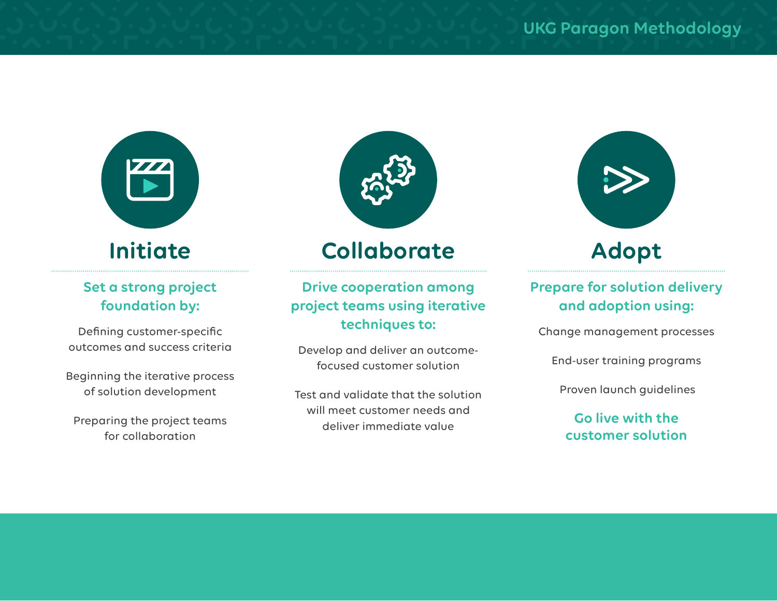

### **Set a strong project foundation by:**

Defining customer-specific outcomes and success criteria

Beginning the iterative process of solution development

Preparing the project teams for collaboration



### **Collaborate**

**Drive cooperation among project teams using iterative techniques to:**

Develop and deliver an outcomefocused customer solution

Test and validate that the solution will meet customer needs and deliver immediate value



### **Prepare for solution delivery and adoption using:**

Change management processes

End-user training programs

Proven launch guidelines

### **Go live with the customer solution**